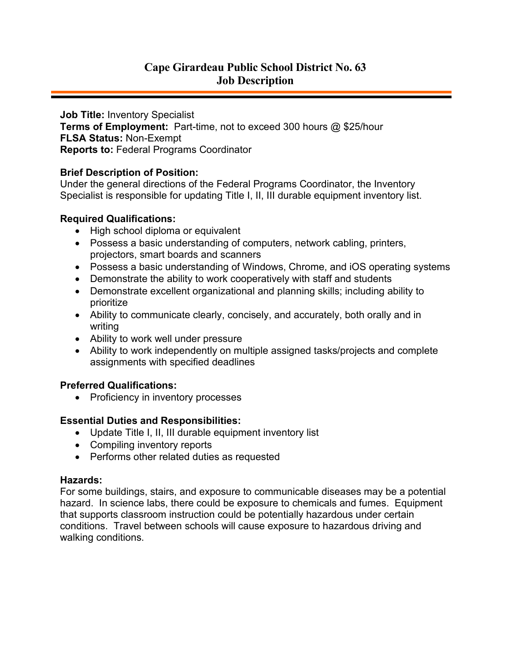# **Cape Girardeau Public School District No. 63 Job Description**

**Job Title:** Inventory Specialist **Terms of Employment:** Part-time, not to exceed 300 hours @ \$25/hour **FLSA Status:** Non-Exempt **Reports to:** Federal Programs Coordinator

## **Brief Description of Position:**

Under the general directions of the Federal Programs Coordinator, the Inventory Specialist is responsible for updating Title I, II, III durable equipment inventory list.

## **Required Qualifications:**

- High school diploma or equivalent
- Possess a basic understanding of computers, network cabling, printers, projectors, smart boards and scanners
- Possess a basic understanding of Windows, Chrome, and iOS operating systems
- Demonstrate the ability to work cooperatively with staff and students
- Demonstrate excellent organizational and planning skills; including ability to prioritize
- Ability to communicate clearly, concisely, and accurately, both orally and in writing
- Ability to work well under pressure
- Ability to work independently on multiple assigned tasks/projects and complete assignments with specified deadlines

#### **Preferred Qualifications:**

• Proficiency in inventory processes

# **Essential Duties and Responsibilities:**

- Update Title I, II, III durable equipment inventory list
- Compiling inventory reports
- Performs other related duties as requested

#### **Hazards:**

For some buildings, stairs, and exposure to communicable diseases may be a potential hazard. In science labs, there could be exposure to chemicals and fumes. Equipment that supports classroom instruction could be potentially hazardous under certain conditions. Travel between schools will cause exposure to hazardous driving and walking conditions.